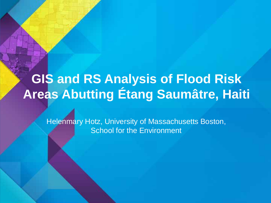# **GIS and RS Analysis of Flood Risk Areas Abutting Étang Saumâtre, Haiti**

Helenmary Hotz, University of Massachusetts Boston, **School for the Environment**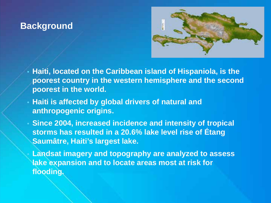### **Background**



- **Haiti, located on the Caribbean island of Hispaniola, is the poorest country in the western hemisphere and the second poorest in the world.**
- **Haiti is affected by global drivers of natural and anthropogenic origins.**
- **Since 2004, increased incidence and intensity of tropical storms has resulted in a 20.6% lake level rise of Étang Saumâtre, Haiti's largest lake.**
	- **Landsat imagery and topography are analyzed to assess lake expansion and to locate areas most at risk for flooding.**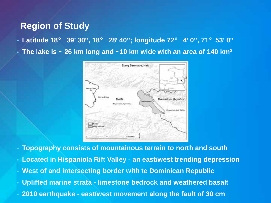#### **Region of Study**

- **Latitude 18**° **39' 30", 18**° **28' 40"; longitude 72**° **4' 0", 71**°**53' 0"**
- **The lake is ~ 26 km long and ~10 km wide with an area of 140 km2**



• **Topography consists of mountainous terrain to north and south** 

- **Located in Hispaniola Rift Valley - an east/west trending depression**
- **West of and intersecting border with te Dominican Republic**
- **Uplifted marine strata - limestone bedrock and weathered basalt**
- **2010 earthquake - east/west movement along the fault of 30 cm**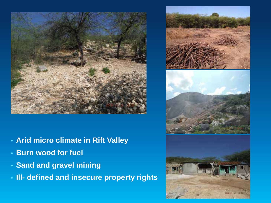

- **Arid micro climate in Rift Valley**
- **Burn wood for fuel**
- **Sand and gravel mining**
- **Ill- defined and insecure property rights**

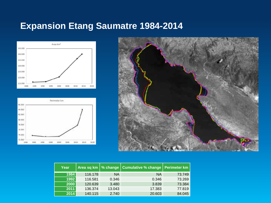# **Expansion Etang Saumatre 1984-2014**







| Year |         |           | Area sq km   % change   Cumulative % change   Perimeter km |        |
|------|---------|-----------|------------------------------------------------------------|--------|
| 1984 | 116.178 | <b>NA</b> | <b>NA</b>                                                  | 73.749 |
| 1992 | 116.581 | 0.346     | 0.346                                                      | 73.269 |
| 2000 | 120.639 | 3.480     | 3.839                                                      | 73.384 |
| 2011 | 136.374 | 13.043    | 17.383                                                     | 77.819 |
| 2014 | 140.115 | 2.740     | 20.603                                                     | 84.045 |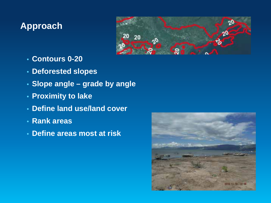# **Approach**



- **Contours 0-20**
- **Deforested slopes**
- **Slope angle – grade by angle**
- **Proximity to lake**
- **Define land use/land cover**
- **Rank areas**
- **Define areas most at risk**

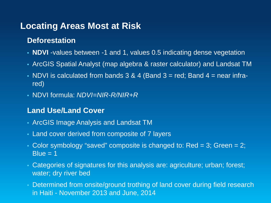## **Locating Areas Most at Risk**

#### **Deforestation**

- **NDVI** -values between -1 and 1, values 0.5 indicating dense vegetation
- ArcGIS Spatial Analyst (map algebra & raster calculator) and Landsat TM
- NDVI is calculated from bands  $3 & 4$  (Band  $3 =$  red; Band  $4 =$  near infrared)
- NDVI formula: *NDVI=NIR-R/NIR+R*

#### **Land Use/Land Cover**

- ArcGIS Image Analysis and Landsat TM
- Land cover derived from composite of 7 layers
- Color symbology "saved" composite is changed to:  $Red = 3$ ; Green  $= 2$ ;  $Blue = 1$
- Categories of signatures for this analysis are: agriculture; urban; forest; water; dry river bed
- Determined from onsite/ground trothing of land cover during field research in Haiti - November 2013 and June, 2014